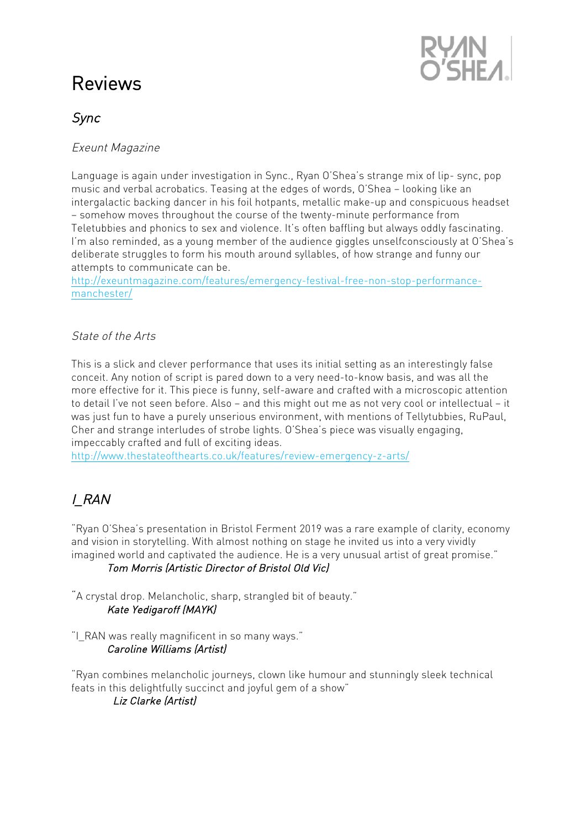# Reviews



# Sync

#### Exeunt Magazine

Language is again under investigation in Sync., Ryan O'Shea's strange mix of lip- sync, pop music and verbal acrobatics. Teasing at the edges of words, O'Shea – looking like an intergalactic backing dancer in his foil hotpants, metallic make-up and conspicuous headset – somehow moves throughout the course of the twenty-minute performance from Teletubbies and phonics to sex and violence. It's often baffling but always oddly fascinating. I'm also reminded, as a young member of the audience giggles unselfconsciously at O'Shea's deliberate struggles to form his mouth around syllables, of how strange and funny our attempts to communicate can be.

http://exeuntmagazine.com/features/emergency-festival-free-non-stop-performancemanchester/

#### State of the Arts

This is a slick and clever performance that uses its initial setting as an interestingly false conceit. Any notion of script is pared down to a very need-to-know basis, and was all the more effective for it. This piece is funny, self-aware and crafted with a microscopic attention to detail I've not seen before. Also – and this might out me as not very cool or intellectual – it was just fun to have a purely unserious environment, with mentions of Tellytubbies, RuPaul, Cher and strange interludes of strobe lights. O'Shea's piece was visually engaging, impeccably crafted and full of exciting ideas.

http://www.thestateofthearts.co.uk/features/review-emergency-z-arts/

# I\_RAN

"Ryan O'Shea's presentation in Bristol Ferment 2019 was a rare example of clarity, economy and vision in storytelling. With almost nothing on stage he invited us into a very vividly imagined world and captivated the audience. He is a very unusual artist of great promise." Tom Morris (Artistic Director of Bristol Old Vic)

"A crystal drop. Melancholic, sharp, strangled bit of beauty." Kate Yedigaroff (MAYK)

"I\_RAN was really magnificent in so many ways." Caroline Williams (Artist)

"Ryan combines melancholic journeys, clown like humour and stunningly sleek technical feats in this delightfully succinct and joyful gem of a show" Liz Clarke (Artist)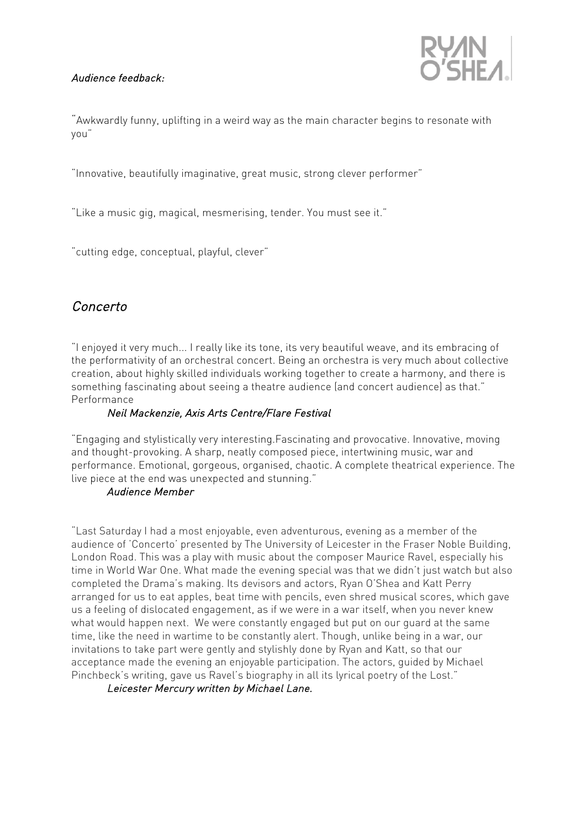#### Audience feedback:



"Awkwardly funny, uplifting in a weird way as the main character begins to resonate with you"

"Innovative, beautifully imaginative, great music, strong clever performer"

"Like a music gig, magical, mesmerising, tender. You must see it."

"cutting edge, conceptual, playful, clever"

## Concerto

"I enjoyed it very much... I really like its tone, its very beautiful weave, and its embracing of the performativity of an orchestral concert. Being an orchestra is very much about collective creation, about highly skilled individuals working together to create a harmony, and there is something fascinating about seeing a theatre audience (and concert audience) as that." Performance

#### Neil Mackenzie, Axis Arts Centre/Flare Festival

"Engaging and stylistically very interesting.Fascinating and provocative. Innovative, moving and thought-provoking. A sharp, neatly composed piece, intertwining music, war and performance. Emotional, gorgeous, organised, chaotic. A complete theatrical experience. The live piece at the end was unexpected and stunning."

#### Audience Member

"Last Saturday I had a most enjoyable, even adventurous, evening as a member of the audience of 'Concerto' presented by The University of Leicester in the Fraser Noble Building, London Road. This was a play with music about the composer Maurice Ravel, especially his time in World War One. What made the evening special was that we didn't just watch but also completed the Drama's making. Its devisors and actors, Ryan O'Shea and Katt Perry arranged for us to eat apples, beat time with pencils, even shred musical scores, which gave us a feeling of dislocated engagement, as if we were in a war itself, when you never knew what would happen next. We were constantly engaged but put on our guard at the same time, like the need in wartime to be constantly alert. Though, unlike being in a war, our invitations to take part were gently and stylishly done by Ryan and Katt, so that our acceptance made the evening an enjoyable participation. The actors, guided by Michael Pinchbeck's writing, gave us Ravel's biography in all its lyrical poetry of the Lost."

Leicester Mercury written by Michael Lane.